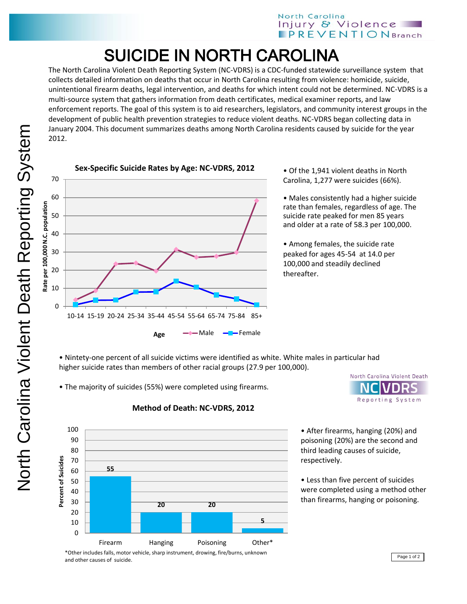## SUICIDE IN NORTH CAROLINA

The North Carolina Violent Death Reporting System (NC-VDRS) is a CDC-funded statewide surveillance system that collects detailed information on deaths that occur in North Carolina resulting from violence: homicide, suicide, unintentional firearm deaths, legal intervention, and deaths for which intent could not be determined. NC-VDRS is a multi-source system that gathers information from death certificates, medical examiner reports, and law enforcement reports. The goal of this system is to aid researchers, legislators, and community interest groups in the development of public health prevention strategies to reduce violent deaths. NC-VDRS began collecting data in January 2004. This document summarizes deaths among North Carolina residents caused by suicide for the year 2012.





• Of the 1,941 violent deaths in North Carolina, 1,277 were suicides (66%).

• Males consistently had a higher suicide rate than females, regardless of age. The suicide rate peaked for men 85 years and older at a rate of 58.3 per 100,000.

• Among females, the suicide rate peaked for ages 45-54 at 14.0 per 100,000 and steadily declined thereafter.

• Nintety-one percent of all suicide victims were identified as white. White males in particular had higher suicide rates than members of other racial groups (27.9 per 100,000).

• The majority of suicides (55%) were completed using firearms.



## **Method of Death: NC-VDRS, 2012**



• After firearms, hanging (20%) and poisoning (20%) are the second and third leading causes of suicide, respectively.

• Less than five percent of suicides were completed using a method other than firearms, hanging or poisoning.

Page 1 of 2